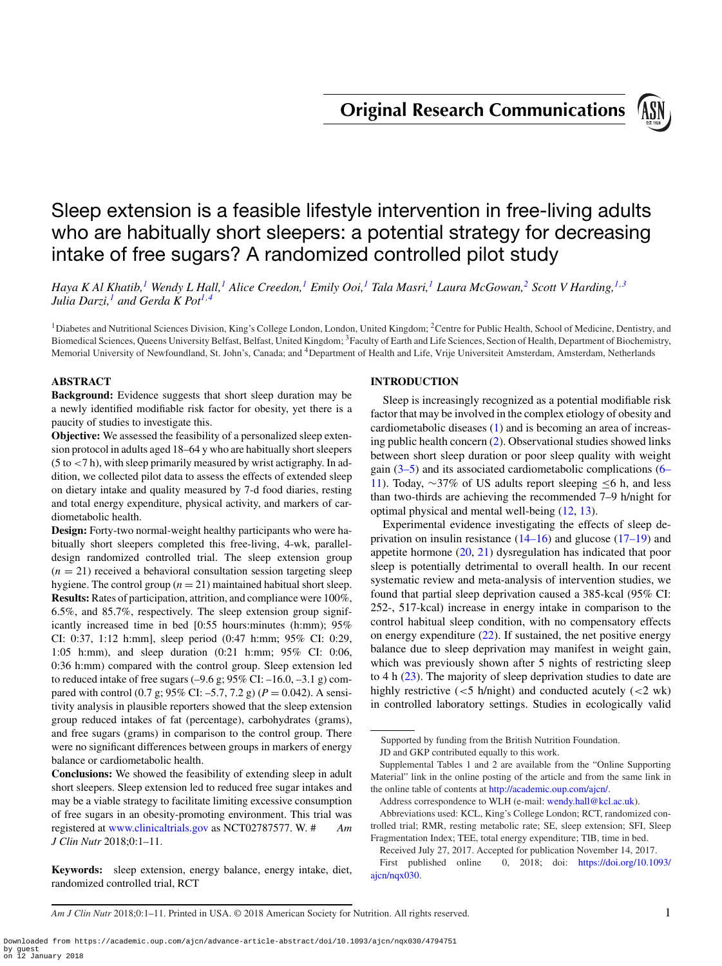**Original Research Communications**



# Sleep extension is a feasible lifestyle intervention in free-living adults who are habitually short sleepers: a potential strategy for decreasing intake of free sugars? A randomized controlled pilot study

*Haya K Al Khatib[,1](#page-0-0) Wendy L Hall,[1](#page-0-0) Alice Creedon,[1](#page-0-0) Emily Ooi[,1](#page-0-0) Tala Masri,[1](#page-0-0) Laura McGowan,[2](#page-0-1) Scott V Harding,[1,](#page-0-0)[3](#page-0-2) Julia Darzi,[1](#page-0-0) and Gerda K Pot[1,](#page-0-0)[4](#page-0-3)*

<span id="page-0-0"></span><sup>1</sup>Diabetes and Nutritional Sciences Division, King's College London, London, United Kingdom; <sup>2</sup>Centre for Public Health, School of Medicine, Dentistry, and Biomedical Sciences, Queens University Belfast, Belfast, United Kingdom; 3Faculty of Earth and Life Sciences, Section of Health, Department of Biochemistry, Memorial University of Newfoundland, St. John's, Canada; and 4Department of Health and Life, Vrije Universiteit Amsterdam, Amsterdam, Netherlands

## **ABSTRACT**

**Background:** Evidence suggests that short sleep duration may be a newly identified modifiable risk factor for obesity, yet there is a paucity of studies to investigate this.

**Objective:** We assessed the feasibility of a personalized sleep extension protocol in adults aged 18–64 y who are habitually short sleepers  $(5$  to  $<$ 7 h), with sleep primarily measured by wrist actigraphy. In addition, we collected pilot data to assess the effects of extended sleep on dietary intake and quality measured by 7-d food diaries, resting and total energy expenditure, physical activity, and markers of cardiometabolic health.

**Design:** Forty-two normal-weight healthy participants who were habitually short sleepers completed this free-living, 4-wk, paralleldesign randomized controlled trial. The sleep extension group  $(n = 21)$  received a behavioral consultation session targeting sleep hygiene. The control group  $(n = 21)$  maintained habitual short sleep. **Results:** Rates of participation, attrition, and compliance were 100%, 6.5%, and 85.7%, respectively. The sleep extension group significantly increased time in bed [0:55 hours:minutes (h:mm); 95% CI: 0:37, 1:12 h:mm], sleep period (0:47 h:mm; 95% CI: 0:29, 1:05 h:mm), and sleep duration (0:21 h:mm; 95% CI: 0:06, 0:36 h:mm) compared with the control group. Sleep extension led to reduced intake of free sugars  $(-9.6 \text{ g}; 95\% \text{ CI: } -16.0, -3.1 \text{ g})$  compared with control (0.7 g; 95% CI: –5.7, 7.2 g) (*P* = 0.042). A sensitivity analysis in plausible reporters showed that the sleep extension group reduced intakes of fat (percentage), carbohydrates (grams), and free sugars (grams) in comparison to the control group. There were no significant differences between groups in markers of energy balance or cardiometabolic health.

**Conclusions:** We showed the feasibility of extending sleep in adult short sleepers. Sleep extension led to reduced free sugar intakes and may be a viable strategy to facilitate limiting excessive consumption of free sugars in an obesity-promoting environment. This trial was registered at [www.clinicaltrials.gov](http://www.clinicaltrials.gov) as NCT02787577. W. # *Am J Clin Nutr* 2018;0:1–11.

**Keywords:** sleep extension, energy balance, energy intake, diet, randomized controlled trial, RCT

## <span id="page-0-3"></span><span id="page-0-2"></span><span id="page-0-1"></span>**INTRODUCTION**

Sleep is increasingly recognized as a potential modifiable risk factor that may be involved in the complex etiology of obesity and cardiometabolic diseases [\(1\)](#page-8-0) and is becoming an area of increasing public health concern [\(2\)](#page-8-1). Observational studies showed links between short sleep duration or poor sleep quality with weight gain  $(3-5)$  and its associated cardiometabolic complications  $(6-$ 11). Today, ∼37% of US adults report sleeping ≤6 h, and less than two-thirds are achieving the recommended 7–9 h/night for optimal physical and mental well-being [\(12,](#page-9-0) [13\)](#page-9-1).

Experimental evidence investigating the effects of sleep deprivation on insulin resistance  $(14-16)$  and glucose  $(17-19)$  and appetite hormone [\(20,](#page-9-2) [21\)](#page-9-3) dysregulation has indicated that poor sleep is potentially detrimental to overall health. In our recent systematic review and meta-analysis of intervention studies, we found that partial sleep deprivation caused a 385-kcal (95% CI: 252-, 517-kcal) increase in energy intake in comparison to the control habitual sleep condition, with no compensatory effects on energy expenditure  $(22)$ . If sustained, the net positive energy balance due to sleep deprivation may manifest in weight gain, which was previously shown after 5 nights of restricting sleep to 4 h [\(23\)](#page-9-5). The majority of sleep deprivation studies to date are highly restrictive  $\left( \langle 5 \rangle \right)$  h/night) and conducted acutely  $\left( \langle 2 \rangle \right)$  wk) in controlled laboratory settings. Studies in ecologically valid

Supported by funding from the British Nutrition Foundation.

JD and GKP contributed equally to this work.

Supplemental Tables 1 and 2 are available from the "Online Supporting Material" link in the online posting of the article and from the same link in the online table of contents at [http://academic.oup.com/ajcn/.](http://academic.oup.com/ajcn/)

Address correspondence to WLH (e-mail: [wendy.hall@kcl.ac.uk\)](mailto:wendy.hall@kcl.ac.uk).

Abbreviations used: KCL, King's College London; RCT, randomized controlled trial; RMR, resting metabolic rate; SE, sleep extension; SFI, Sleep Fragmentation Index; TEE, total energy expenditure; TIB, time in bed.

Received July 27, 2017. Accepted for publication November 14, 2017.

[First published online 0, 2018; doi:](https://doi.org/10.1093/ajcn/nqx030) https://doi.org/10.1093/ ajcn/nqx030.

*Am J Clin Nutr* 2018;0:1–11. Printed in USA. © 2018 American Society for Nutrition. All rights reserved. 1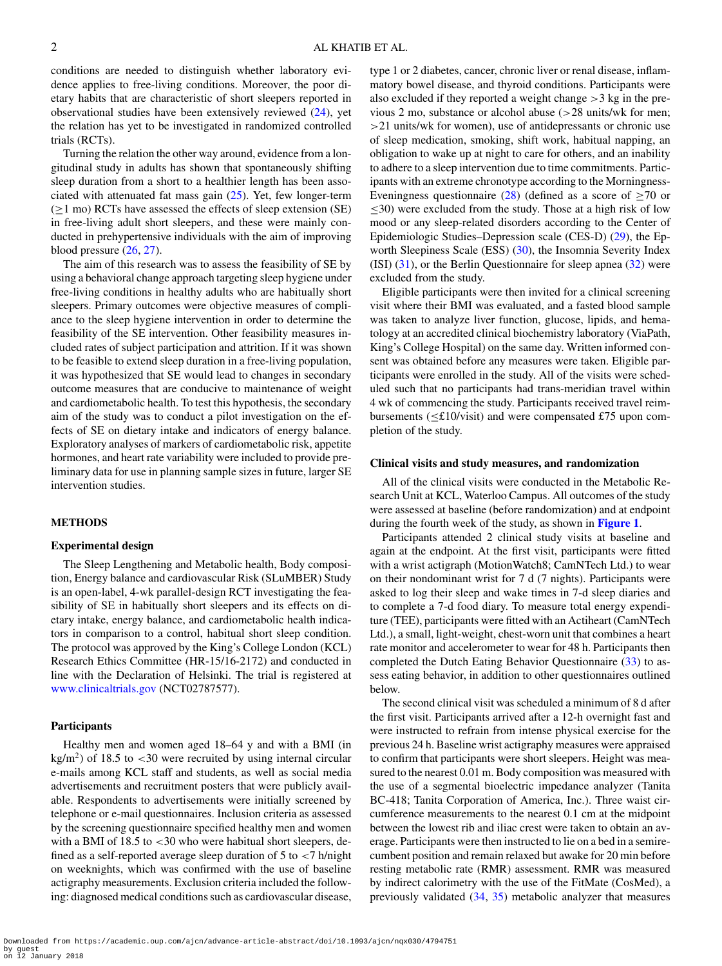conditions are needed to distinguish whether laboratory evidence applies to free-living conditions. Moreover, the poor dietary habits that are characteristic of short sleepers reported in observational studies have been extensively reviewed [\(24\)](#page-9-6), yet the relation has yet to be investigated in randomized controlled trials (RCTs).

Turning the relation the other way around, evidence from a longitudinal study in adults has shown that spontaneously shifting sleep duration from a short to a healthier length has been associated with attenuated fat mass gain  $(25)$ . Yet, few longer-term  $(\geq 1 \text{ mo})$  RCTs have assessed the effects of sleep extension (SE) in free-living adult short sleepers, and these were mainly conducted in prehypertensive individuals with the aim of improving blood pressure  $(26, 27)$  $(26, 27)$  $(26, 27)$ .

The aim of this research was to assess the feasibility of SE by using a behavioral change approach targeting sleep hygiene under free-living conditions in healthy adults who are habitually short sleepers. Primary outcomes were objective measures of compliance to the sleep hygiene intervention in order to determine the feasibility of the SE intervention. Other feasibility measures included rates of subject participation and attrition. If it was shown to be feasible to extend sleep duration in a free-living population, it was hypothesized that SE would lead to changes in secondary outcome measures that are conducive to maintenance of weight and cardiometabolic health. To test this hypothesis, the secondary aim of the study was to conduct a pilot investigation on the effects of SE on dietary intake and indicators of energy balance. Exploratory analyses of markers of cardiometabolic risk, appetite hormones, and heart rate variability were included to provide preliminary data for use in planning sample sizes in future, larger SE intervention studies.

## **METHODS**

## **Experimental design**

The Sleep Lengthening and Metabolic health, Body composition, Energy balance and cardiovascular Risk (SLuMBER) Study is an open-label, 4-wk parallel-design RCT investigating the feasibility of SE in habitually short sleepers and its effects on dietary intake, energy balance, and cardiometabolic health indicators in comparison to a control, habitual short sleep condition. The protocol was approved by the King's College London (KCL) Research Ethics Committee (HR-15/16-2172) and conducted in line with the Declaration of Helsinki. The trial is registered at [www.clinicaltrials.gov](http://www.clinicaltrials.gov) (NCT02787577).

#### **Participants**

Healthy men and women aged 18–64 y and with a BMI (in  $kg/m<sup>2</sup>$ ) of 18.5 to <30 were recruited by using internal circular e-mails among KCL staff and students, as well as social media advertisements and recruitment posters that were publicly available. Respondents to advertisements were initially screened by telephone or e-mail questionnaires. Inclusion criteria as assessed by the screening questionnaire specified healthy men and women with a BMI of  $18.5$  to  $\lt 30$  who were habitual short sleepers, defined as a self-reported average sleep duration of  $5$  to  $\lt$  7 h/night on weeknights, which was confirmed with the use of baseline actigraphy measurements. Exclusion criteria included the following: diagnosed medical conditions such as cardiovascular disease, type 1 or 2 diabetes, cancer, chronic liver or renal disease, inflammatory bowel disease, and thyroid conditions. Participants were also excluded if they reported a weight change >3 kg in the previous 2 mo, substance or alcohol abuse (>28 units/wk for men; >21 units/wk for women), use of antidepressants or chronic use of sleep medication, smoking, shift work, habitual napping, an obligation to wake up at night to care for others, and an inability to adhere to a sleep intervention due to time commitments. Participants with an extreme chronotype according to the Morningness-Eveningness questionnaire [\(28\)](#page-9-10) (defined as a score of  $\geq$ 70 or  $\leq$ 30) were excluded from the study. Those at a high risk of low mood or any sleep-related disorders according to the Center of Epidemiologic Studies–Depression scale (CES-D) [\(29\)](#page-9-11), the Ep-worth Sleepiness Scale (ESS) [\(30\)](#page-9-12), the Insomnia Severity Index  $(ISI)$   $(31)$ , or the Berlin Questionnaire for sleep apnea  $(32)$  were excluded from the study.

Eligible participants were then invited for a clinical screening visit where their BMI was evaluated, and a fasted blood sample was taken to analyze liver function, glucose, lipids, and hematology at an accredited clinical biochemistry laboratory (ViaPath, King's College Hospital) on the same day. Written informed consent was obtained before any measures were taken. Eligible participants were enrolled in the study. All of the visits were scheduled such that no participants had trans-meridian travel within 4 wk of commencing the study. Participants received travel reimbursements (≤£10/visit) and were compensated £75 upon completion of the study.

#### **Clinical visits and study measures, and randomization**

All of the clinical visits were conducted in the Metabolic Research Unit at KCL, Waterloo Campus. All outcomes of the study were assessed at baseline (before randomization) and at endpoint during the fourth week of the study, as shown in **[Figure 1](#page-2-0)**.

Participants attended 2 clinical study visits at baseline and again at the endpoint. At the first visit, participants were fitted with a wrist actigraph (MotionWatch8; CamNTech Ltd.) to wear on their nondominant wrist for 7 d (7 nights). Participants were asked to log their sleep and wake times in 7-d sleep diaries and to complete a 7-d food diary. To measure total energy expenditure (TEE), participants were fitted with an Actiheart (CamNTech Ltd.), a small, light-weight, chest-worn unit that combines a heart rate monitor and accelerometer to wear for 48 h. Participants then completed the Dutch Eating Behavior Questionnaire [\(33\)](#page-9-15) to assess eating behavior, in addition to other questionnaires outlined below.

The second clinical visit was scheduled a minimum of 8 d after the first visit. Participants arrived after a 12-h overnight fast and were instructed to refrain from intense physical exercise for the previous 24 h. Baseline wrist actigraphy measures were appraised to confirm that participants were short sleepers. Height was measured to the nearest 0.01 m. Body composition was measured with the use of a segmental bioelectric impedance analyzer (Tanita BC-418; Tanita Corporation of America, Inc.). Three waist circumference measurements to the nearest 0.1 cm at the midpoint between the lowest rib and iliac crest were taken to obtain an average. Participants were then instructed to lie on a bed in a semirecumbent position and remain relaxed but awake for 20 min before resting metabolic rate (RMR) assessment. RMR was measured by indirect calorimetry with the use of the FitMate (CosMed), a previously validated [\(34,](#page-9-16) [35\)](#page-9-17) metabolic analyzer that measures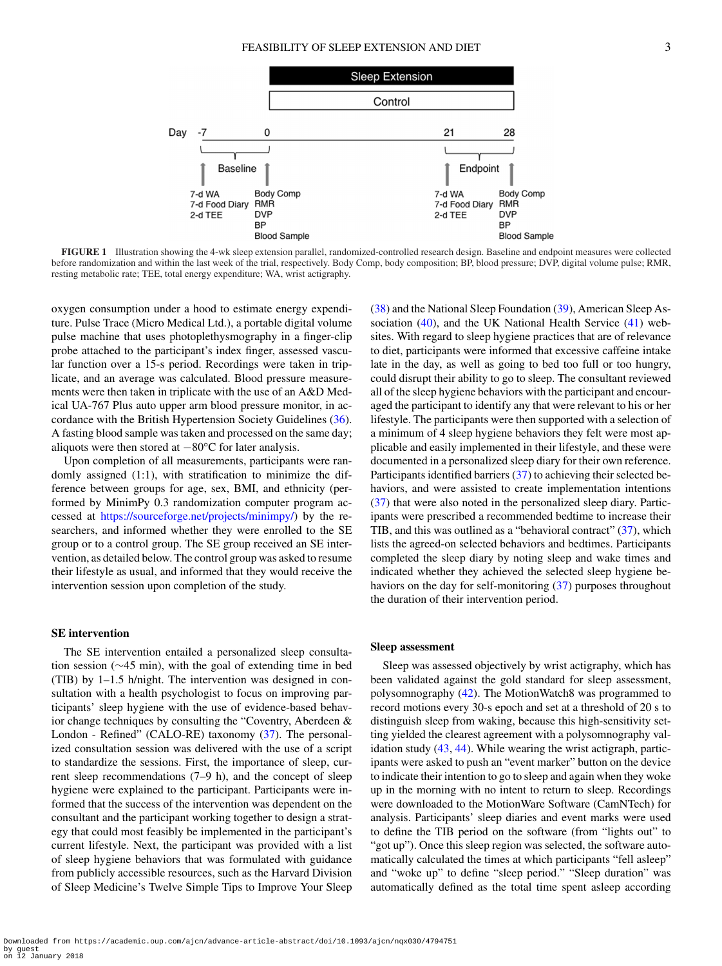<span id="page-2-0"></span>

**FIGURE 1** Illustration showing the 4-wk sleep extension parallel, randomized-controlled research design. Baseline and endpoint measures were collected before randomization and within the last week of the trial, respectively. Body Comp, body composition; BP, blood pressure; DVP, digital volume pulse; RMR, resting metabolic rate; TEE, total energy expenditure; WA, wrist actigraphy.

oxygen consumption under a hood to estimate energy expenditure. Pulse Trace (Micro Medical Ltd.), a portable digital volume pulse machine that uses photoplethysmography in a finger-clip probe attached to the participant's index finger, assessed vascular function over a 15-s period. Recordings were taken in triplicate, and an average was calculated. Blood pressure measurements were then taken in triplicate with the use of an A&D Medical UA-767 Plus auto upper arm blood pressure monitor, in accordance with the British Hypertension Society Guidelines [\(36\)](#page-9-18). A fasting blood sample was taken and processed on the same day; aliquots were then stored at <sup>−</sup>80°C for later analysis.

Upon completion of all measurements, participants were randomly assigned (1:1), with stratification to minimize the difference between groups for age, sex, BMI, and ethnicity (performed by MinimPy 0.3 randomization computer program accessed at [https://sourceforge.net/projects/minimpy/\)](https://sourceforge.net/projects/minimpy/) by the researchers, and informed whether they were enrolled to the SE group or to a control group. The SE group received an SE intervention, as detailed below. The control group was asked to resume their lifestyle as usual, and informed that they would receive the intervention session upon completion of the study.

#### **SE intervention**

The SE intervention entailed a personalized sleep consultation session (∼45 min), with the goal of extending time in bed (TIB) by 1–1.5 h/night. The intervention was designed in consultation with a health psychologist to focus on improving participants' sleep hygiene with the use of evidence-based behavior change techniques by consulting the "Coventry, Aberdeen & London - Refined" (CALO-RE) taxonomy [\(37\)](#page-9-19). The personalized consultation session was delivered with the use of a script to standardize the sessions. First, the importance of sleep, current sleep recommendations (7–9 h), and the concept of sleep hygiene were explained to the participant. Participants were informed that the success of the intervention was dependent on the consultant and the participant working together to design a strategy that could most feasibly be implemented in the participant's current lifestyle. Next, the participant was provided with a list of sleep hygiene behaviors that was formulated with guidance from publicly accessible resources, such as the Harvard Division of Sleep Medicine's Twelve Simple Tips to Improve Your Sleep [\(38\)](#page-9-20) and the National Sleep Foundation [\(39\)](#page-9-21), American Sleep Association  $(40)$ , and the UK National Health Service  $(41)$  websites. With regard to sleep hygiene practices that are of relevance to diet, participants were informed that excessive caffeine intake late in the day, as well as going to bed too full or too hungry, could disrupt their ability to go to sleep. The consultant reviewed all of the sleep hygiene behaviors with the participant and encouraged the participant to identify any that were relevant to his or her lifestyle. The participants were then supported with a selection of a minimum of 4 sleep hygiene behaviors they felt were most applicable and easily implemented in their lifestyle, and these were documented in a personalized sleep diary for their own reference. Participants identified barriers [\(37\)](#page-9-19) to achieving their selected behaviors, and were assisted to create implementation intentions [\(37\)](#page-9-19) that were also noted in the personalized sleep diary. Participants were prescribed a recommended bedtime to increase their TIB, and this was outlined as a "behavioral contract" [\(37\)](#page-9-19), which lists the agreed-on selected behaviors and bedtimes. Participants completed the sleep diary by noting sleep and wake times and indicated whether they achieved the selected sleep hygiene behaviors on the day for self-monitoring [\(37\)](#page-9-19) purposes throughout the duration of their intervention period.

## **Sleep assessment**

Sleep was assessed objectively by wrist actigraphy, which has been validated against the gold standard for sleep assessment, polysomnography [\(42\)](#page-9-24). The MotionWatch8 was programmed to record motions every 30-s epoch and set at a threshold of 20 s to distinguish sleep from waking, because this high-sensitivit[y](#page-3-0) setting yielded the clearest agreement with a polysomnography validation study [\(43,](#page-9-25) [44\)](#page-9-26). While wearing the wrist actigraph, participants were asked to push an "event marker" button on the device to indicate their intention to go to sleep and again when they woke up in the morning with no intent to return to sleep. Recordings were downloaded to the MotionWare Software (CamNTech) for analysis. Participants' sleep diaries and event marks were used to define the TIB period on the software (from "lights out" to "got up"). Once this sleep region was selected, the software automatically calculated the times at which participants "fell asleep" and "woke up" to define "sleep period." "Sleep duration" was automatically defined as the total time spent asleep according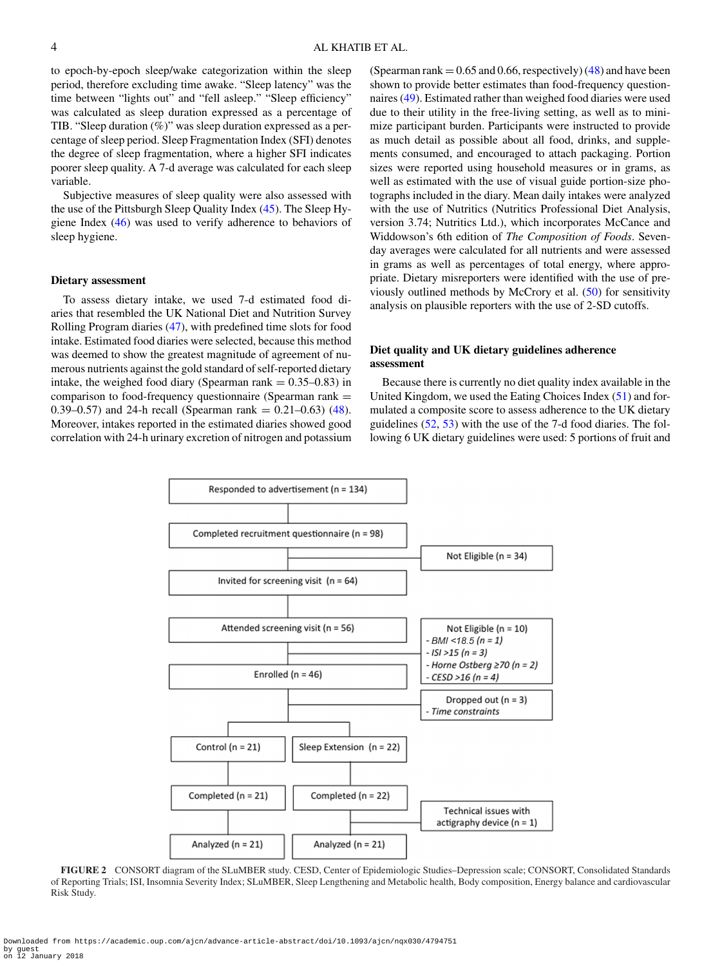to epoch-by-epoch sleep/wake categorization within the sleep period, therefore excluding time awake. "Sleep latency" was the time between "lights out" and "fell asleep." "Sleep efficiency" was calculated as sleep duration expressed as a percentage of TIB. "Sleep duration (%)" was sleep duration expressed as a percentage of sleep period. Sleep Fragmentation Index (SFI) denotes the degree of sleep fragmentation, where a higher SFI indicates poorer sleep quality. A 7-d average was calculated for each sleep variable.

Subjective measures of sleep quality were also assessed with the use of the Pittsburgh Sleep Quality Index [\(45\)](#page-9-27). The Sleep Hygiene Index [\(46\)](#page-9-28) was used to verify adherence to behaviors of sleep hygiene.

#### **Dietary assessment**

To assess dietary intake, we used 7-d estimated food diaries that resembled the UK National Diet and Nutrition Survey Rolling Program diaries [\(47\)](#page-9-29), with predefined time slots for food intake. Estimated food diaries were selected, because this method was deemed to show the greatest magnitude of agreement of numerous nutrients against the gold standard of self-reported dietary intake, the weighed food diary (Spearman rank  $= 0.35 - 0.83$ ) in comparison to food-frequency questionnaire (Spearman rank  $=$ 0.39–0.57) and 24-h recall (Spearman rank =  $0.21-0.63$ ) [\(48\)](#page-9-30). Moreover, intakes reported in the estimated diaries showed good correlation with 24-h urinary excretion of nitrogen and potassium (Spearman rank  $= 0.65$  and 0.66, respectively) [\(48\)](#page-9-30) and have been shown to provide better estimates than food-frequency questionnaires [\(49\)](#page-9-31). Estimated rather than weighed food diaries were used due to their utility in the free-living setting, as well as to minimize participant burden. Participants were instructed to provide as much detail as possible about all food, drinks, and supplements consumed, and encouraged to attach packaging. Portion sizes were reported using household measures or in grams, as well as estimated with the use of visual guide portion-size photographs included in the diary. Mean daily intakes were analyzed with the use of Nutritics (Nutritics Professional Diet Analysis, version 3.74; Nutritics Ltd.), which incorporates McCance and Widdowson's 6th edition of *The Composition of Foods*. Sevenday averages were calculated for all nutrients and were assessed in grams as well as percentages of total energy, where appropriate. Dietary misreporters were identified with the use of previously outlined methods by McCrory et al. [\(50\)](#page-10-0) for sensitivity analysis on plausible reporters with the use of 2-SD cutoffs.

## **Diet quality and UK dietary guidelines adherence assessment**

Because there is currently no diet quality index available in the United Kingdom, we used the Eating Choices Index [\(51\)](#page-10-1) and formulated a composite score to assess adherence to the UK dietary guidelines [\(52,](#page-10-2) [53\)](#page-10-3) with the use of the 7-d food diaries. The following 6 UK dietary guidelines were used: 5 portions of fruit and

<span id="page-3-0"></span>

**FIGURE 2** CONSORT diagram of the SLuMBER study. CESD, Center of Epidemiologic Studies–Depression scale; CONSORT, Consolidated Standards of Reporting Trials; ISI, Insomnia Severity Index; SLuMBER, Sleep Lengthening and Metabolic health, Body composition, Energy balance and cardiovascular Risk Study.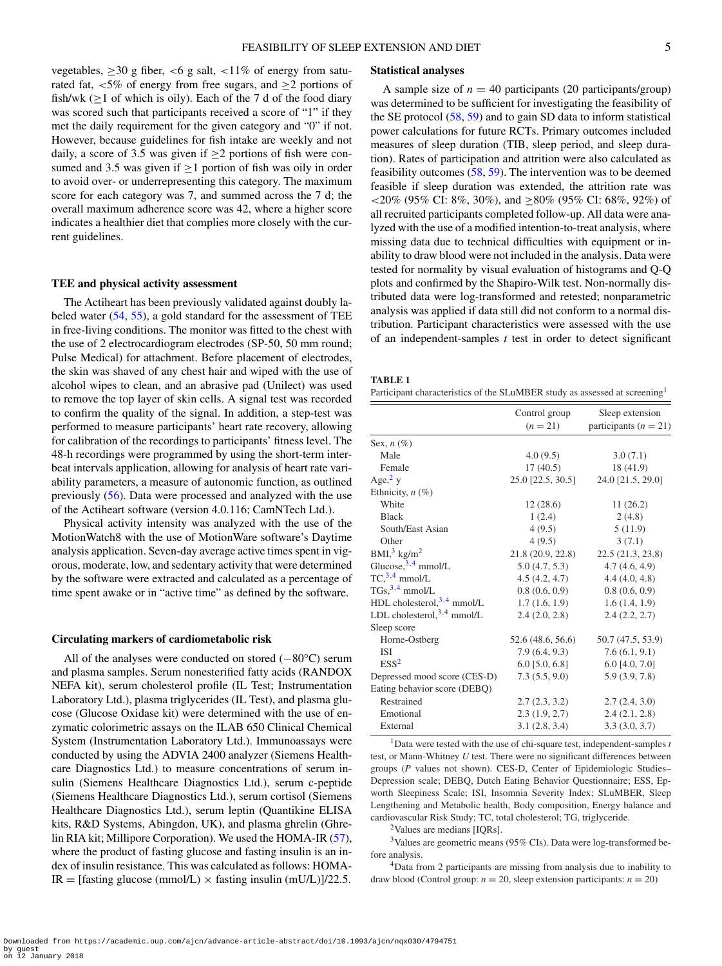vegetables,  $\geq$ 30 g fiber, <6 g salt, <11% of energy from saturated fat,  $< 5\%$  of energy from free sugars, and  $\geq 2$  portions of fish/wk  $(\geq 1$  of which is oily). Each of the 7 d of the food diary was scored such that participants received a score of "1" if they met the daily requirement for the given category and "0" if not. However, because guidelines for fish intake are weekly and not daily, a score of 3.5 was given if  $\geq$  2 portions of fish were consumed and 3.5 was given if  $\geq$ 1 portion of fish was oily in order to avoid over- or underrepresenting this category. The maximum score for each category was 7, and summed across the 7 d; the overall maximum adherence score was 42, where a higher score indicates a healthier diet that complies more closely with the current guidelines.

## **TEE and physical activity assessment**

The Actiheart has been previously validated against doubly labeled water [\(54,](#page-10-4) [55\)](#page-10-5), a gold standard for the assessment of TEE in free-living conditions. The monitor was fitted to the chest with the use of 2 electrocardiogram electrodes (SP-50, 50 mm round; Pulse Medical) for attachment. Before placement of electrodes, the skin was shaved of any chest hair and wiped with the use of alcohol wipes to clean, and an abrasive pad (Unilect) was used to remove the top layer of skin cells. A signal test was recorded to confirm the quality of the signal. In addition, a step-test was performed to measure participants' heart rate recovery, allowing for calibration of the recordings to participants' fitness level. The 48-h recordings were programmed by using the short-term interbeat intervals application, allowing for analysis of heart rate variability parameters, a measure of autonomic function, as outlined previously [\(56\)](#page-10-6). Data were processed and analyzed with the use of the Actiheart software (version 4.0.116; CamNTech Ltd.).

Physical activity intensity was analyzed with the use of the MotionWatch8 with the use of MotionWare software's Daytime analysis application. Seven-day average active times spent in vigorous, moderate, low, and sedentary activity that were determined by the software were extracted and calculated as a percentage of time spent awake or in "active time" as defined by the software.

#### **Circulating markers of cardiometabolic risk**

All of the analyses were conducted on stored (−80°C) serum and plasma samples. Serum nonesterified fatty acids (RANDOX NEFA kit), serum cholesterol profile (IL Test; Instrumentation Laboratory Ltd.), plasma triglycerides (IL Test)[,](#page-4-0) and plasma glucose (Glucose Oxidase kit) were determined with the use of enzymatic colorimetric assays on the ILAB 650 Clinical Chemical System (Instrumentation Laboratory Ltd.). Immunoassays were conducted by using the ADVIA 2400 analyzer (Siemens Healthcare Diagnostics Ltd.) to measure concentrations of serum insulin (Siemens Healthcare Diagnostics Ltd.), serum c-peptide (Siemens Healthcare Diagnostics Ltd.), serum cortisol (Siemens Healthcare Diagnostics Ltd.), serum leptin (Quantikine ELISA kits, R&D Systems, Abingdon, UK), and plasma ghrelin (Ghrelin RIA kit; Millipore Corporation). We used the HOMA-IR [\(57\)](#page-10-7), where the product of fasting glucose and fasting insulin is an index of insulin resistance. This was calculated as follows: HOMA-IR = [fasting glucose (mmol/L)  $\times$  fasting insulin (mU/L)]/22.5.

## **Statistical analyses**

A sample size of  $n = 40$  participants (20 participants/group) was determined to be sufficient for investigating the feasibility of the SE protocol [\(58,](#page-10-8) [59\)](#page-10-9) and to gain SD data to inform statistical power calculations for future RCTs. Primary outcome[s](#page-5-0) included measures of sleep duration (TIB, sleep period, and sleep duration). Rates of participation and attrition were also calculated as feasibility outcomes  $(58, 59)$  $(58, 59)$  $(58, 59)$ . The intervention was to be deemed feasible if sleep duration was extended, the attrition rate was <20% (95% CI: 8%, 30%), and  $\geq$ 80% (95% CI: 68%, 92%) of all recruited participants completed follow-up. All data were analyzed with the use of a modified intention-to-treat analysis, where missing data due to technical difficulties with equipment or inability to draw blood were not included in the analysis. Data were tested for normality by visual evaluation of histograms and Q-Q plots and confirmed by the Shapiro-Wilk test. Non-normally distributed data were log-transformed and retested; nonparametric analysis was applied if data still did not conform to a normal distribution. Participant characteristics were assessed with the use of an independent-samples *t* test in order to detect significant

<span id="page-4-0"></span>

| n.<br>а в |  |
|-----------|--|
|-----------|--|

Participant characteristics of the SLuMBER study as assessed at screening<sup>1</sup>

|                               | Control group<br>$(n = 21)$ | Sleep extension<br>participants ( $n = 21$ ) |
|-------------------------------|-----------------------------|----------------------------------------------|
| Sex, $n(\%)$                  |                             |                                              |
| Male                          | 4.0(9.5)                    | 3.0(7.1)                                     |
| Female                        | 17(40.5)                    | 18 (41.9)                                    |
| Age, $2y$                     | 25.0 [22.5, 30.5]           | 24.0 [21.5, 29.0]                            |
| Ethnicity, $n$ (%)            |                             |                                              |
| White                         | 12(28.6)                    | 11(26.2)                                     |
| <b>Black</b>                  | 1(2.4)                      | 2(4.8)                                       |
| South/East Asian              | 4(9.5)                      | 5(11.9)                                      |
| Other                         | 4(9.5)                      | 3(7.1)                                       |
| $BMI3$ kg/m <sup>2</sup>      | 21.8(20.9, 22.8)            | 22.5 (21.3, 23.8)                            |
| Glucose, $3,4$ mmol/L         | 5.0(4.7, 5.3)               | 4.7(4.6, 4.9)                                |
| $TC3,4$ mmol/L                | 4.5(4.2, 4.7)               | 4.4(4.0, 4.8)                                |
| $TGs$ , $3.4$ mmol/L          | 0.8(0.6, 0.9)               | 0.8(0.6, 0.9)                                |
| HDL cholesterol, 3,4 mmol/L   | 1.7(1.6, 1.9)               | 1.6(1.4, 1.9)                                |
| LDL cholesterol, $3,4$ mmol/L | 2.4(2.0, 2.8)               | 2.4(2.2, 2.7)                                |
| Sleep score                   |                             |                                              |
| Horne-Ostberg                 | 52.6 (48.6, 56.6)           | 50.7 (47.5, 53.9)                            |
| <b>ISI</b>                    | 7.9(6.4, 9.3)               | 7.6(6.1, 9.1)                                |
| ESS <sup>2</sup>              | $6.0$ [5.0, 6.8]            | $6.0$ [4.0, 7.0]                             |
| Depressed mood score (CES-D)  | 7.3(5.5, 9.0)               | 5.9 (3.9, 7.8)                               |
| Eating behavior score (DEBQ)  |                             |                                              |
| Restrained                    | 2.7(2.3, 3.2)               | 2.7(2.4, 3.0)                                |
| Emotional                     | 2.3(1.9, 2.7)               | 2.4(2.1, 2.8)                                |
| External                      | 3.1(2.8, 3.4)               | 3.3(3.0, 3.7)                                |

<span id="page-4-4"></span>1Data were tested with the use of chi-square test, independent-samples *t* test, or Mann-Whitney *U* test. There were no significant differences between groups (*P* values not shown). CES-D, Center of Epidemiologic Studies– Depression scale; DEBQ, Dutch Eating Behavior Questionnaire; ESS, Epworth Sleepiness Scale; ISI, Insomnia Severity Index; SLuMBER, Sleep Lengthening and Metabolic health, Body composition, Energy balance and cardiovascular Risk Study; TC, total cholesterol; TG, triglyceride.

2Values are medians [IQRs].

<span id="page-4-2"></span><span id="page-4-1"></span> $3$  Values are geometric means (95% CIs). Data were log-transformed before analysis.

<span id="page-4-3"></span>4Data from 2 participants are missing from analysis due to inability to draw blood (Control group:  $n = 20$ , sleep extension participants:  $n = 20$ )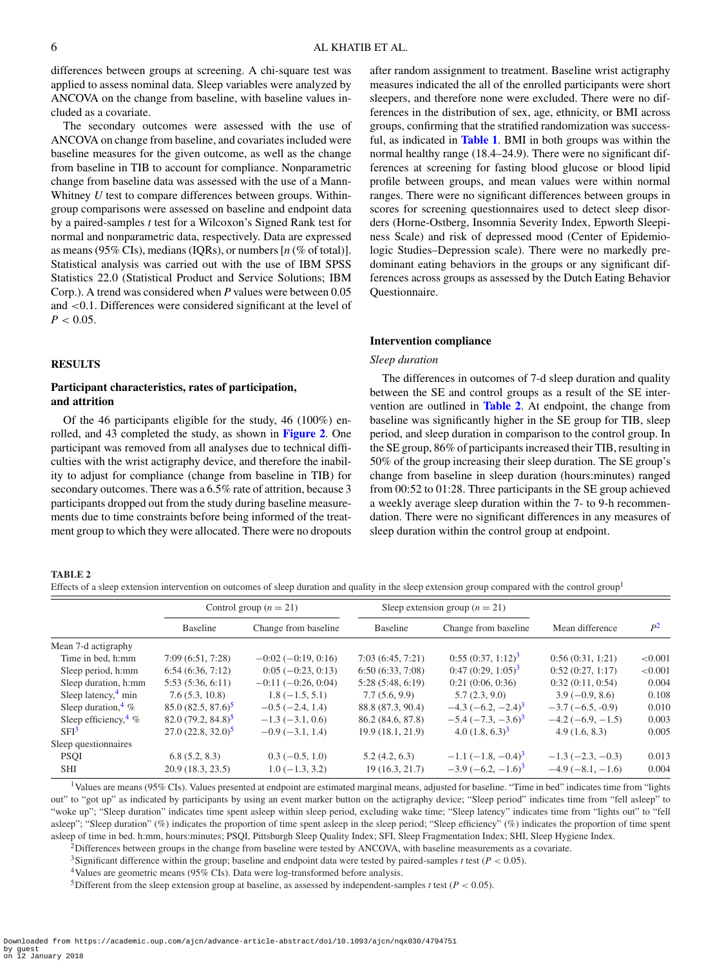differences between groups at screening. A chi-square test was applied to assess nominal data. Sleep variables were analyzed by ANCOVA on the change from baseline, with baseline values included as a covariate.

The secondary outcomes were assessed with the use of ANCOVA on change from baseline, and covariates included were baseline measures for the given outcome, as well as the change from baseline in TIB to account for compliance. Nonparametric change from baseline data was assessed with the use of a Mann-Whitney *U* test to compare differences between groups. Withingroup comparisons were assessed on baseline and endpoint data by a paired-samples *t* test for a Wilcoxon's Signed Rank test for normal and nonparametric data, respectively. Data are expressed as means (95% CIs), medians (IQRs), or numbers [*n* (% of total)]. Statistical analysis was carried out with the use of IBM SPSS Statistics 22.0 (Statistical Product and Service Solutions; IBM Corp.). A trend was considered when *P* values were between 0.05 and <0.1. Differences were considered significant at the level of  $P < 0.05$ .

# **RESULTS**

## **Participant characteristics, rates of participation, and attrition**

Of the 46 participants eligible for the study, 46 (100%) enrolled, and 43 completed the study, as shown in **[Figure 2](#page-3-0)**. One participant was removed from all analyses due to technical difficulties with the wrist actigraphy device, and therefore the inability to adjust for compliance (change from baseline in TIB) for secondary outcomes. There was a 6.5% rate of attrition, because 3 participants dropped out from the study during baseline measurements due to time constraints before being informed of the treatment group to which they were allocated. There were no dropouts after random assignment to treatment. Baseline wrist actigraphy measures indicated the all of the enrolled participants were short sleepers, and therefore none were excluded. There were no differences in the distribution of sex, age, ethnicity, or BMI across groups, confirming that the stratified randomization was successful, as indicated in **[Table 1](#page-4-0)**. BMI in both groups was within the normal healthy range (18.4–24.9). There were no significant differences at screening for fasting blood glucose or blood lipid profile between groups, and mean values were within normal ranges. There were no significant differences between groups in scores for screening questionnaires used to detect sleep disorders (Horne-Ostberg, Insomnia Severity Index, Epworth Sleepiness Scale) and risk of depressed mood (Center of Epidemiologic Studies–Depression scale). There were no markedly predominant eating behaviors in the groups or any significant differences across groups as assessed by the Dutch Eating Behavior Questionnaire.

## **Intervention compliance**

## *Sleep duration*

The differences in outcomes of 7-d sleep duration and quality between the SE and control groups as a result of the SE intervention are outlined in **[Table 2](#page-5-0)**. At endpoint, the change from baseline was significantly higher in the SE group for TIB, sleep period, and sleep duration in comparison to the control group. In the SE group, 86% of participants increased their TIB, resulting in 50% of the group increasing their sleep duration. The SE group's change from baseline in sleep duration (hours:minutes) ranged from 00:52 to 01:28. Three participants in the SE group achieved a weekly average sleep duration within the 7- to 9-h recommendation. There were no significant differences in any measures of sleep duration within the control group at endpoint.

#### <span id="page-5-0"></span>**TABLE 2**

Effects of a sleep extension intervention on outcomes of sleep duration and quality in the sleep extension group compared with the control group<sup>1</sup>

|                                  | Control group $(n = 21)$ |                      | Sleep extension group $(n = 21)$ |                                         |                   |         |  |
|----------------------------------|--------------------------|----------------------|----------------------------------|-----------------------------------------|-------------------|---------|--|
|                                  | <b>Baseline</b>          | Change from baseline | Baseline                         | Change from baseline                    | Mean difference   | $P^2$   |  |
| Mean 7-d actigraphy              |                          |                      |                                  |                                         |                   |         |  |
| Time in bed, h:mm                | 7:09(6:51, 7:28)         | $-0.02(-0.19, 0.16)$ | 7:03(6:45, 7:21)                 | $0:55(0:37, 1:12)^3$                    | 0:56(0:31, 1:21)  | < 0.001 |  |
| Sleep period, h:mm               | 6:54(6:36, 7:12)         | $0:05(-0:23, 0:13)$  | 6:50(6:33, 7:08)                 | $0:47(0:29, 1:05)^3$                    | 0:52(0:27, 1:17)  | < 0.001 |  |
| Sleep duration, h:mm             | 5:53(5:36, 6:11)         | $-0.11(-0.26, 0.04)$ | 5:28(5:48, 6:19)                 | 0:21(0:06, 0:36)                        | 0:32(0:11, 0:54)  | 0.004   |  |
| Sleep latency, $\frac{4}{3}$ min | 7.6(5.3, 10.8)           | $1.8(-1.5, 5.1)$     | 7.7(5.6, 9.9)                    | 5.7(2.3, 9.0)                           | $3.9(-0.9, 8.6)$  | 0.108   |  |
| Sleep duration, $\frac{4}{\%}$   | $85.0 (82.5, 87.6)^5$    | $-0.5(-2.4, 1.4)$    | 88.8 (87.3, 90.4)                | $-4.3$ (-6.2, -2.4) <sup>3</sup>        | $-3.7(-6.5,-0.9)$ | 0.010   |  |
| Sleep efficiency, $\frac{4}{\%}$ | $82.0(79.2, 84.8)^5$     | $-1.3(-3.1, 0.6)$    | 86.2 (84.6, 87.8)                | $-5.4$ ( $-7.3$ , $-3.6$ ) <sup>3</sup> | $-4.2(-6.9,-1.5)$ | 0.003   |  |
| SFI <sup>3</sup>                 | $27.0(22.8, 32.0)^5$     | $-0.9(-3.1, 1.4)$    | 19.9 (18.1, 21.9)                | 4.0 $(1.8, 6.3)^3$                      | 4.9(1.6, 8.3)     | 0.005   |  |
| Sleep questionnaires             |                          |                      |                                  |                                         |                   |         |  |
| <b>PSOI</b>                      | 6.8(5.2, 8.3)            | $0.3(-0.5, 1.0)$     | 5.2(4.2, 6.3)                    | $-1.1$ $(-1.8, -0.4)^3$                 | $-1.3(-2.3,-0.3)$ | 0.013   |  |
| <b>SHI</b>                       | 20.9 (18.3, 23.5)        | $1.0(-1.3, 3.2)$     | 19(16.3, 21.7)                   | $-3.9(-6.2,-1.6)^3$                     | $-4.9(-8.1,-1.6)$ | 0.004   |  |

<sup>1</sup>Values are means (95% CIs). Values presented at endpoint are estimated marginal means, adjusted for baseline. "Time in bed" indicates time from "lights out" to "got up" as indicated by participants by using an event marker button on the actigraphy device; "Sleep period" indicates time from "fell asleep" to "woke up"; "Sleep duration" indicates time spent asleep within sleep period, excluding wake time; "Sleep latency" indicates time from "lights out" to "fell asleep"; "Sleep duration" (%) indicates the proportion of time spent asleep in the sleep period; "Sleep efficiency" (%) indicates the proportion of time spent asleep of time in bed. h:mm, hours:minutes; PSQI, Pittsburgh Sleep Quality Index; SFI, Sleep Fragmentation Index; SHI, Sleep Hygiene Index.

<span id="page-5-1"></span><sup>2</sup>Differences between groups in the change from baseline were tested by ANCOVA, with baseline measurements as a covariate.

<span id="page-5-2"></span>3Significant difference within the group; baseline and endpoint data were tested by paired-samples *t* test (*P* < 0.05).

<span id="page-5-3"></span>4Values are geometric means (95% CIs). Data were log-transformed before analysis.

<span id="page-5-4"></span><sup>5</sup>Different from the sleep extension group at baseline, as assessed by independent-samples *t* test ( $P < 0.05$ ).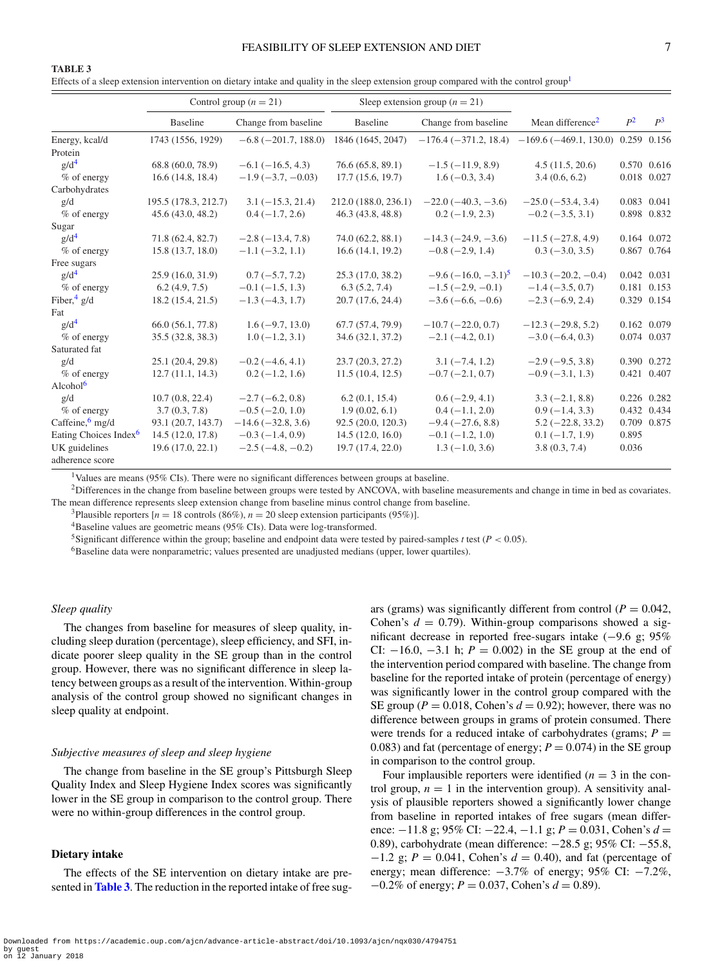## FEASIBILITY OF SLEEP EXTENSION AND DIET  $7$

# <span id="page-6-0"></span>**TABLE 3**

Effects of a sleep extension intervention on dietary intake and quality in the sleep extension group compared with the control group

|                                   |                      | Control group $(n = 21)$   | Sleep extension group $(n = 21)$ |                           |                                                            |       |             |
|-----------------------------------|----------------------|----------------------------|----------------------------------|---------------------------|------------------------------------------------------------|-------|-------------|
|                                   | <b>Baseline</b>      | Change from baseline       | Baseline                         | Change from baseline      | Mean difference <sup>2</sup>                               | $P^2$ | $P^3$       |
| Energy, kcal/d                    | 1743 (1556, 1929)    | $-6.8$ ( $-201.7$ , 188.0) | 1846 (1645, 2047)                |                           | $-176.4$ (-371.2, 18.4) -169.6 (-469.1, 130.0) 0.259 0.156 |       |             |
| Protein                           |                      |                            |                                  |                           |                                                            |       |             |
| g/d <sup>4</sup>                  | 68.8 (60.0, 78.9)    | $-6.1(-16.5, 4.3)$         | 76.6(65.8, 89.1)                 | $-1.5(-11.9, 8.9)$        | 4.5(11.5, 20.6)                                            |       | 0.570 0.616 |
| % of energy                       | 16.6(14.8, 18.4)     | $-1.9(-3.7, -0.03)$        | 17.7(15.6, 19.7)                 | $1.6(-0.3, 3.4)$          | 3.4(0.6, 6.2)                                              |       | 0.018 0.027 |
| Carbohydrates                     |                      |                            |                                  |                           |                                                            |       |             |
| g/d                               | 195.5 (178.3, 212.7) | $3.1(-15.3, 21.4)$         | 212.0 (188.0, 236.1)             | $-22.0$ ( $-40.3, -3.6$ ) | $-25.0(-53.4, 3.4)$                                        |       | 0.083 0.041 |
| $%$ of energy                     | 45.6(43.0, 48.2)     | $0.4(-1.7, 2.6)$           | 46.3(43.8, 48.8)                 | $0.2(-1.9, 2.3)$          | $-0.2$ ( $-3.5$ , 3.1)                                     |       | 0.898 0.832 |
| Sugar                             |                      |                            |                                  |                           |                                                            |       |             |
| $g/d^4$                           | 71.8 (62.4, 82.7)    | $-2.8(-13.4, 7.8)$         | 74.0 (62.2, 88.1)                | $-14.3(-24.9, -3.6)$      | $-11.5(-27.8, 4.9)$                                        |       | 0.164 0.072 |
| % of energy                       | 15.8(13.7, 18.0)     | $-1.1(-3.2, 1.1)$          | 16.6(14.1, 19.2)                 | $-0.8$ ( $-2.9$ , 1.4)    | $0.3(-3.0, 3.5)$                                           |       | 0.867 0.764 |
| Free sugars                       |                      |                            |                                  |                           |                                                            |       |             |
| $g/d^4$                           | 25.9(16.0, 31.9)     | $0.7(-5.7, 7.2)$           | 25.3(17.0, 38.2)                 | $-9.6(-16.0, -3.1)^5$     | $-10.3(-20.2, -0.4)$                                       |       | 0.042 0.031 |
| $%$ of energy                     | 6.2(4.9, 7.5)        | $-0.1(-1.5, 1.3)$          | 6.3(5.2, 7.4)                    | $-1.5(-2.9, -0.1)$        | $-1.4(-3.5, 0.7)$                                          |       | 0.181 0.153 |
| Fiber, $\frac{4}{9}$ g/d          | 18.2(15.4, 21.5)     | $-1.3(-4.3, 1.7)$          | 20.7(17.6, 24.4)                 | $-3.6(-6.6, -0.6)$        | $-2.3(-6.9, 2.4)$                                          |       | 0.329 0.154 |
| Fat                               |                      |                            |                                  |                           |                                                            |       |             |
| $g/d^4$                           | 66.0 (56.1, 77.8)    | $1.6(-9.7, 13.0)$          | 67.7(57.4, 79.9)                 | $-10.7(-22.0, 0.7)$       | $-12.3(-29.8, 5.2)$                                        |       | 0.162 0.079 |
| % of energy                       | 35.5 (32.8, 38.3)    | $1.0(-1.2, 3.1)$           | 34.6 (32.1, 37.2)                | $-2.1(-4.2, 0.1)$         | $-3.0(-6.4, 0.3)$                                          |       | 0.074 0.037 |
| Saturated fat                     |                      |                            |                                  |                           |                                                            |       |             |
| g/d                               | 25.1(20.4, 29.8)     | $-0.2$ ( $-4.6$ , 4.1)     | 23.7(20.3, 27.2)                 | $3.1(-7.4, 1.2)$          | $-2.9(-9.5, 3.8)$                                          |       | 0.390 0.272 |
| $%$ of energy                     | 12.7(11.1, 14.3)     | $0.2(-1.2, 1.6)$           | 11.5(10.4, 12.5)                 | $-0.7(-2.1, 0.7)$         | $-0.9(-3.1, 1.3)$                                          |       | 0.421 0.407 |
| Alcohol <sup>6</sup>              |                      |                            |                                  |                           |                                                            |       |             |
| g/d                               | 10.7(0.8, 22.4)      | $-2.7(-6.2, 0.8)$          | 6.2(0.1, 15.4)                   | $0.6(-2.9, 4.1)$          | $3.3(-2.1, 8.8)$                                           |       | 0.226 0.282 |
| $%$ of energy                     | 3.7(0.3, 7.8)        | $-0.5(-2.0, 1.0)$          | 1.9(0.02, 6.1)                   | $0.4(-1.1, 2.0)$          | $0.9(-1.4, 3.3)$                                           |       | 0.432 0.434 |
| Caffeine, $6 \text{ mg/d}$        | 93.1 (20.7, 143.7)   | $-14.6(-32.8, 3.6)$        | 92.5(20.0, 120.3)                | $-9.4 (-27.6, 8.8)$       | $5.2 (-22.8, 33.2)$                                        |       | 0.709 0.875 |
| Eating Choices Index <sup>6</sup> | 14.5(12.0, 17.8)     | $-0.3(-1.4, 0.9)$          | 14.5(12.0, 16.0)                 | $-0.1 (-1.2, 1.0)$        | $0.1(-1.7, 1.9)$                                           | 0.895 |             |
| UK guidelines<br>adherence score  | 19.6(17.0, 22.1)     | $-2.5(-4.8, -0.2)$         | 19.7 (17.4, 22.0)                | $1.3(-1.0, 3.6)$          | 3.8(0.3, 7.4)                                              | 0.036 |             |

<sup>1</sup>Values are means (95% CIs). There were no significant differences between groups at baseline.

<span id="page-6-2"></span><span id="page-6-1"></span><sup>2</sup>Differences in the change from baseline between groups were tested by ANCOVA, with baseline measurements and change in time in bed as covariates. The mean difference represents sleep extension change from baseline minus control change from baseline.

<span id="page-6-4"></span><span id="page-6-3"></span><sup>3</sup>Plausible reporters [ $n = 18$  controls (86%),  $n = 20$  sleep extension participants (95%)]. <sup>4</sup>Baseline values are geometric means (95% CIs). Data were log-transformed.

<span id="page-6-5"></span>5Significant difference within the group; baseline and endpoint data were tested by paired-samples *t* test (*P* < 0.05).

<span id="page-6-6"></span><sup>6</sup>Baseline data were nonparametric; values presented are unadjusted medians (upper, lower quartiles).

## *Sleep quality*

The changes from baseline for measures of sleep quality, including sleep duration (percentage), sleep efficiency, and SFI, indicate poorer sleep quality in the SE group than in the control group. However, there was no significant difference in sleep latency between groups as a result of the intervention. Within-group analysis of the control group showed no significant changes in sleep quality at endpoint.

#### *Subjective measures of sleep and sleep hygiene*

The change from baseline in the SE group's Pittsburgh Sleep Quality Index and Sleep Hygiene Index scores was significantly lower in the SE group in comparison to the control group. There were no within-group differences in the control group.

# **Dietary intake**

The effects of the SE intervention on dietary intake are presented in **[Table 3](#page-6-0)**. The reduction in the reported intake of free sugars (grams) was significantly different from control ( $P = 0.042$ , Cohen's  $d = 0.79$ ). Within-group comparisons showed a significant decrease in reported free-sugars intake (−9.6 g; 95% CI:  $-16.0, -3.1$  h;  $P = 0.002$ ) in the SE group at the end of the interventio[n](#page-7-0) period compared with baseline. The change from baseline for the reported intake of protein (percentage of energy) was significantly lower in the control group compared with the SE group ( $P = 0.018$ , Cohen's  $d = 0.92$ ); however, there was no difference between groups in grams of protein consumed. There were trends for a reduced intake of carbohydrates (grams;  $P =$ 0.083) and fat (percentage of energy;  $P = 0.074$ ) in the SE group in comparison to the control group.

Four implausible reporters were identified  $(n = 3$  in the control group,  $n = 1$  in the intervention group). A sensitivity analysis of plausible reporters showed a significantly lower change from baseline in reported intakes of free sugars (mean difference: −11.8 g; 95% CI: −22.4, −1.1 g; *P* = 0.031, Cohen's *d* = 0.89), carbohydrate (mean difference: −28.5 g; 95% CI: −55.8, −1.2 g; *P* = 0.041, Cohen's *d* = 0.40), and fat (percentage of energy; mean difference:  $-3.7\%$  of energy; 95% CI:  $-7.2\%$ , −0.2% of energy; *P* = 0.037, Cohen's *d* = 0.89).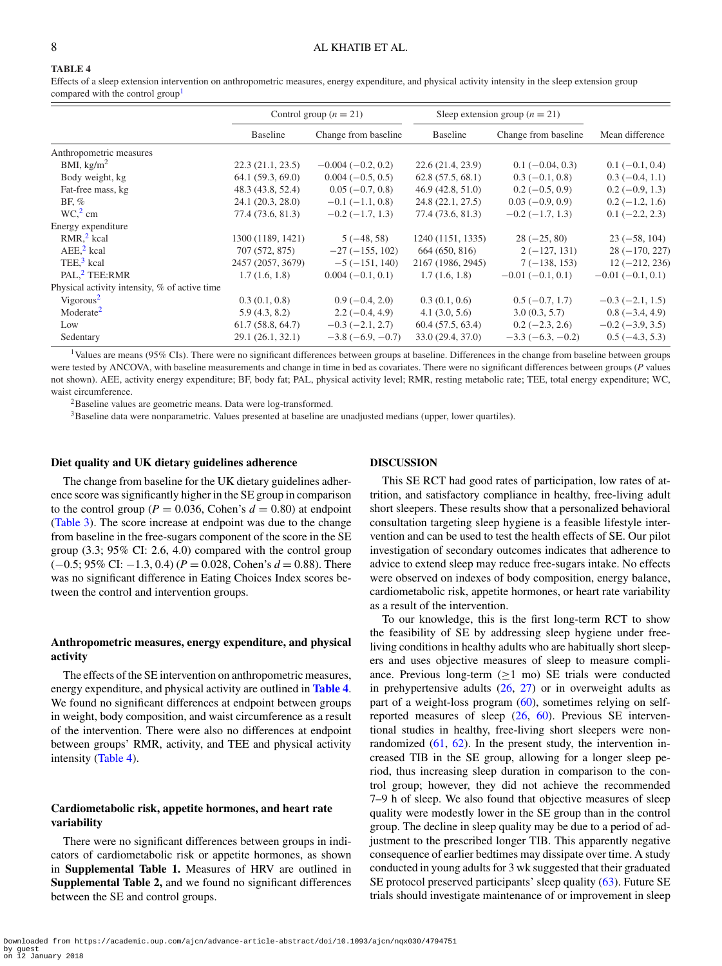# <span id="page-7-0"></span>**TABLE 4**

Effects of a sleep extension intervention on anthropometric measures, energy expenditure, and physical activity intensity in the sleep extension group compared with the control group

|                                               | Control group $(n = 21)$ |                      | Sleep extension group $(n = 21)$ |                      |                        |  |
|-----------------------------------------------|--------------------------|----------------------|----------------------------------|----------------------|------------------------|--|
|                                               | Baseline                 | Change from baseline | Baseline                         | Change from baseline | Mean difference        |  |
| Anthropometric measures                       |                          |                      |                                  |                      |                        |  |
| BMI, $\text{kg/m}^2$                          | 22.3(21.1, 23.5)         | $-0.004(-0.2, 0.2)$  | 22.6(21.4, 23.9)                 | $0.1(-0.04, 0.3)$    | $0.1(-0.1, 0.4)$       |  |
| Body weight, kg                               | 64.1(59.3, 69.0)         | $0.004(-0.5, 0.5)$   | 62.8(57.5, 68.1)                 | $0.3(-0.1, 0.8)$     | $0.3(-0.4, 1.1)$       |  |
| Fat-free mass, kg                             | 48.3 (43.8, 52.4)        | $0.05(-0.7, 0.8)$    | 46.9(42.8, 51.0)                 | $0.2(-0.5, 0.9)$     | $0.2(-0.9, 1.3)$       |  |
| BF, $%$                                       | 24.1(20.3, 28.0)         | $-0.1(-1.1, 0.8)$    | 24.8 (22.1, 27.5)                | $0.03(-0.9, 0.9)$    | $0.2(-1.2, 1.6)$       |  |
| $WC12$ cm                                     | 77.4 (73.6, 81.3)        | $-0.2(-1.7, 1.3)$    | 77.4 (73.6, 81.3)                | $-0.2(-1.7, 1.3)$    | $0.1 (-2.2, 2.3)$      |  |
| Energy expenditure                            |                          |                      |                                  |                      |                        |  |
| $RMR12$ kcal                                  | 1300 (1189, 1421)        | $5(-48, 58)$         | 1240 (1151, 1335)                | $28(-25, 80)$        | $23(-58, 104)$         |  |
| $AEE2$ kcal                                   | 707 (572, 875)           | $-27(-155, 102)$     | 664 (650, 816)                   | $2(-127, 131)$       | $28(-170, 227)$        |  |
| TEE. $3$ kcal                                 | 2457 (2057, 3679)        | $-5(-151, 140)$      | 2167 (1986, 2945)                | $7(-138, 153)$       | $12(-212, 236)$        |  |
| PAL. <sup>2</sup> TEE:RMR                     | 1.7(1.6, 1.8)            | $0.004(-0.1, 0.1)$   | 1.7(1.6, 1.8)                    | $-0.01(-0.1, 0.1)$   | $-0.01(-0.1, 0.1)$     |  |
| Physical activity intensity, % of active time |                          |                      |                                  |                      |                        |  |
| Vigorous <sup>2</sup>                         | 0.3(0.1, 0.8)            | $0.9(-0.4, 2.0)$     | 0.3(0.1, 0.6)                    | $0.5(-0.7, 1.7)$     | $-0.3(-2.1, 1.5)$      |  |
| Moderate <sup>2</sup>                         | 5.9(4.3, 8.2)            | $2.2(-0.4, 4.9)$     | 4.1(3.0, 5.6)                    | 3.0(0.3, 5.7)        | $0.8(-3.4, 4.9)$       |  |
| Low                                           | 61.7(58.8, 64.7)         | $-0.3(-2.1, 2.7)$    | 60.4(57.5, 63.4)                 | $0.2(-2.3, 2.6)$     | $-0.2$ ( $-3.9, 3.5$ ) |  |
| Sedentary                                     | 29.1 (26.1, 32.1)        | $-3.8(-6.9, -0.7)$   | 33.0 (29.4, 37.0)                | $-3.3(-6.3, -0.2)$   | $0.5(-4.3, 5.3)$       |  |

<span id="page-7-1"></span><sup>1</sup>Values are means (95% CIs). There were no significant differences between groups at baseline. Differences in the change from baseline between groups were tested by ANCOVA, with baseline measurements and change in time in bed as covariates. There were no significant differences between groups (*P* values not shown). AEE, activity energy expenditure; BF, body fat; PAL, physical activity level; RMR, resting metabolic rate; TEE, total energy expenditure; WC, waist circumference.

2Baseline values are geometric means. Data were log-transformed.

<sup>3</sup>Baseline data were nonparametric. Values presented at baseline are unadjusted medians (upper, lower quartiles).

## **Diet quality and UK dietary guidelines adherence**

# The change from baselin[e](#page-7-0) for the UK dietary guidelines adherence score was significantly higher in the SE group in comparison to the control group ( $P = 0.036$ , Cohen's  $d = 0.80$ ) at endpoint [\(Table 3\)](#page-6-0). The score increase at endpoint was due to the change from baseline in the free-sugars component of the score in the SE group (3.3; 95% CI: 2.6, 4.0) compared with the control group (−0.5; 95% CI: −1.3, 0.4) (*P* = 0.028, Cohen's *d* = 0.88). There was no significant difference in Eating Choices Index scores between the control and intervention groups.

## **Anthropometric measures, energy expenditure, and physical activity**

The effects of the SE intervention on anthropometric measures, energy expenditure, and physical activity are outlined in **[Table 4](#page-7-0)**. We found no significant differences at endpoint between groups in weight, body composition, and waist circumference as a result of the intervention. There were also no differences at endpoint between groups' RMR, activity, and TEE and physical activity intensity [\(Table 4\)](#page-7-0).

## **Cardiometabolic risk, appetite hormones, and heart rate variability**

There were no significant differences between groups in indicators of cardiometabolic risk or appetite hormones, as shown in **Supplemental Table 1.** Measures of HRV are outlined in **Supplemental Table 2,** and we found no significant differences between the SE and control groups.

## **DISCUSSION**

This SE RCT had good rates of participation, low rates of attrition, and satisfactory compliance in healthy, free-living adult short sleepers. These results show that a personalized behavioral consultation targeting sleep hygiene is a feasible lifestyle intervention and can be used to test the health effects of SE. Our pilot investigation of secondary outcomes indicates that adherence to advice to extend sleep may reduce free-sugars intake. No effects were observed on indexes of body composition, energy balance, cardiometabolic risk, appetite hormones, or heart rate variability as a result of the intervention.

To our knowledge, this is the first long-term RCT to show the feasibility of SE by addressing sleep hygiene under freeliving conditions in healthy adults who are habitually short sleepers and uses objective measures of sleep to measure compliance. Previous long-term  $(\geq 1 \text{ mo})$  SE trials were conducted in prehypertensive adults  $(26, 27)$  $(26, 27)$  $(26, 27)$  or in overweight adults as part of a weight-loss program [\(60\)](#page-10-10), sometimes relying on selfreported measures of sleep [\(26,](#page-9-8) [60\)](#page-10-10). Previous SE interventional studies in healthy, free-living short sleepers were nonrandomized  $(61, 62)$  $(61, 62)$  $(61, 62)$ . In the present study, the intervention increased TIB in the SE group, allowing for a longer sleep period, thus increasing sleep duration in comparison to the control group; however, they did not achieve the recommended 7–9 h of sleep. We also found that objective measures of sleep quality were modestly lower in the SE group than in the control group. The decline in sleep quality may be due to a period of adjustment to the prescribed longer TIB. This apparently negative consequence of earlier bedtimes may dissipate over time. A study conducted in young adults for 3 wk suggested that their graduated SE protocol preserved participants' sleep quality [\(63\)](#page-10-13). Future SE trials should investigate maintenance of or improvement in sleep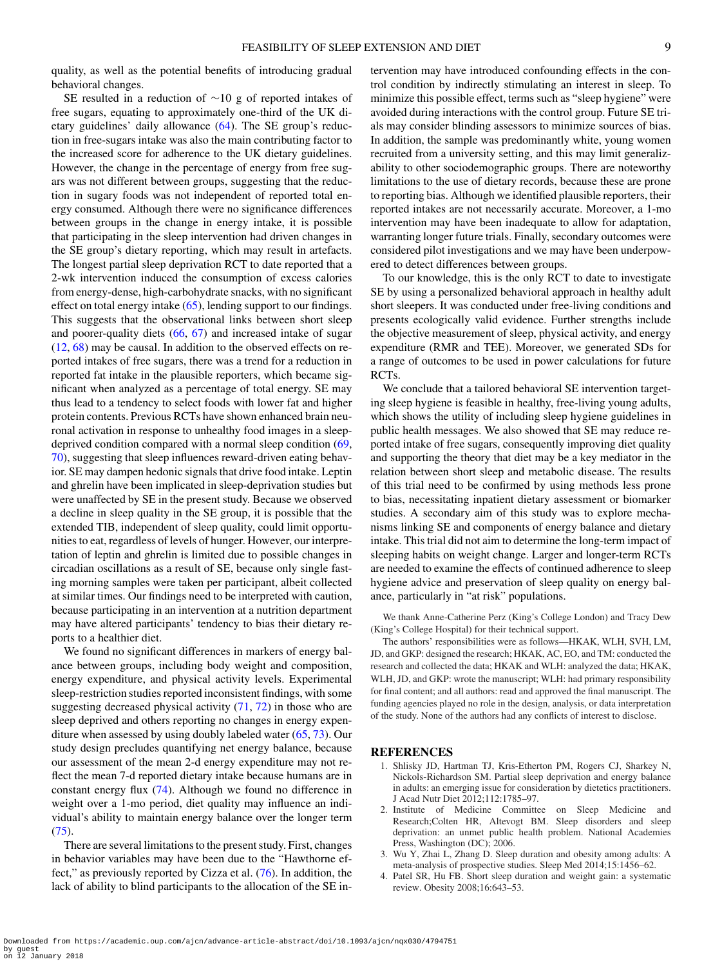quality, as well as the potential benefits of introducing gradual behavioral changes.

SE resulted in a reduction of ∼10 g of reported intakes of free sugars, equating to approximately one-third of the UK dietary guidelines' daily allowance [\(64\)](#page-10-14). The SE group's reduction in free-sugars intake was also the main contributing factor to the increased score for adherence to the UK dietary guidelines. However, the change in the percentage of energy from free sugars was not different between groups, suggesting that the reduction in sugary foods was not independent of reported total energy consumed. Although there were no significance differences between groups in the change in energy intake, it is possible that participating in the sleep intervention had driven changes in the SE group's dietary reporting, which may result in artefacts. The longest partial sleep deprivation RCT to date reported that a 2-wk intervention induced the consumption of excess calories from energy-dense, high-carbohydrate snacks, with no significant effect on total energy intake [\(65\)](#page-10-15), lending support to our findings. This suggests that the observational links between short sleep and poorer-quality diets [\(66,](#page-10-16) [67\)](#page-10-17) and increased intake of sugar [\(12,](#page-9-0) [68\)](#page-10-18) may be causal. In addition to the observed effects on reported intakes of free sugars, there was a trend for a reduction in reported fat intake in the plausible reporters, which became significant when analyzed as a percentage of total energy. SE may thus lead to a tendency to select foods with lower fat and higher protein contents. Previous RCTs have shown enhanced brain neuronal activation in response to unhealthy food images in a sleepdeprived condition compared with a normal sleep condition [\(69,](#page-10-19) [70\)](#page-10-20), suggesting that sleep influences reward-driven eating behavior. SE may dampen hedonic signals that drive food intake. Leptin and ghrelin have been implicated in sleep-deprivation studies but were unaffected by SE in the present study. Because we observed a decline in sleep quality in the SE group, it is possible that the extended TIB, independent of sleep quality, could limit opportunities to eat, regardless of levels of hunger. However, our interpretation of leptin and ghrelin is limited due to possible changes in circadian oscillations as a result of SE, because only single fasting morning samples were taken per participant, albeit collected at similar times. Our findings need to be interpreted with caution, because participating in an intervention at a nutrition department may have altered participants' tendency to bias their dietary reports to a healthier diet.

We found no significant differences in markers of energy balance between groups, including body weight and composition, energy expenditure, and physical activity levels. Experimental sleep-restriction studies reported inconsistent findings, with some suggesting decreased physical activity  $(71, 72)$  $(71, 72)$  $(71, 72)$  in those who are sleep deprived and others reporting no changes in energy expenditure when assessed by using doubly labeled water [\(65,](#page-10-15) [73\)](#page-10-23). Our study design precludes quantifying net energy balance, because our assessment of the mean 2-d energy expenditure may not reflect the mean 7-d reported dietary intake because humans are in constant energy flux [\(74\)](#page-10-24). Although we found no difference in weight over a 1-mo period, diet quality may influence an individual's ability to maintain energy balance over the longer term  $(75)$ .

There are several limitations to the present study. First, changes in behavior variables may have been due to the "Hawthorne effect," as previously reported by Cizza et al. [\(76\)](#page-10-26). In addition, the lack of ability to blind participants to the allocation of the SE intervention may have introduced confounding effects in the control condition by indirectly stimulating an interest in sleep. To minimize this possible effect, terms such as "sleep hygiene" were avoided during interactions with the control group. Future SE trials may consider blinding assessors to minimize sources of bias. In addition, the sample was predominantly white, young women recruited from a university setting, and this may limit generalizability to other sociodemographic groups. There are noteworthy limitations to the use of dietary records, because these are prone to reporting bias. Although we identified plausible reporters, their reported intakes are not necessarily accurate. Moreover, a 1-mo intervention may have been inadequate to allow for adaptation, warranting longer future trials. Finally, secondary outcomes were considered pilot investigations and we may have been underpowered to detect differences between groups.

To our knowledge, this is the only RCT to date to investigate SE by using a personalized behavioral approach in healthy adult short sleepers. It was conducted under free-living conditions and presents ecologically valid evidence. Further strengths include the objective measurement of sleep, physical activity, and energy expenditure (RMR and TEE). Moreover, we generated SDs for a range of outcomes to be used in power calculations for future RCTs.

We conclude that a tailored behavioral SE intervention targeting sleep hygiene is feasible in healthy, free-living young adults, which shows the utility of including sleep hygiene guidelines in public health messages. We also showed that SE may reduce reported intake of free sugars, consequently improving diet quality and supporting the theory that diet may be a key mediator in the relation between short sleep and metabolic disease. The results of this trial need to be confirmed by using methods less prone to bias, necessitating inpatient dietary assessment or biomarker studies. A secondary aim of this study was to explore mechanisms linking SE and components of energy balance and dietary intake. This trial did not aim to determine the long-term impact of sleeping habits on weight change. Larger and longer-term RCTs are needed to examine the effects of continued adherence to sleep hygiene advice and preservation of sleep quality on energy balance, particularly in "at risk" populations.

We thank Anne-Catherine Perz (King's College London) and Tracy Dew (King's College Hospital) for their technical support.

The authors' responsibilities were as follows—HKAK, WLH, SVH, LM, JD, and GKP: designed the research; HKAK, AC, EO, and TM: conducted the research and collected the data; HKAK and WLH: analyzed the data; HKAK, WLH, JD, and GKP: wrote the manuscript; WLH: had primary responsibility for final content; and all authors: read and approved the final manuscript. The funding agencies played no role in the design, analysis, or data interpretation of the study. None of the authors had any conflicts of interest to disclose.

#### **REFERENCES**

- <span id="page-8-0"></span>1. Shlisky JD, Hartman TJ, Kris-Etherton PM, Rogers CJ, Sharkey N, Nickols-Richardson SM. Partial sleep deprivation and energy balance in adults: an emerging issue for consideration by dietetics practitioners. J Acad Nutr Diet 2012;112:1785–97.
- <span id="page-8-1"></span>2. Institute of Medicine Committee on Sleep Medicine and Research;Colten HR, Altevogt BM. Sleep disorders and sleep deprivation: an unmet public health problem. National Academies Press, Washington (DC); 2006.
- 3. Wu Y, Zhai L, Zhang D. Sleep duration and obesity among adults: A meta-analysis of prospective studies. Sleep Med 2014;15:1456–62.
- 4. Patel SR, Hu FB. Short sleep duration and weight gain: a systematic review. Obesity 2008;16:643–53.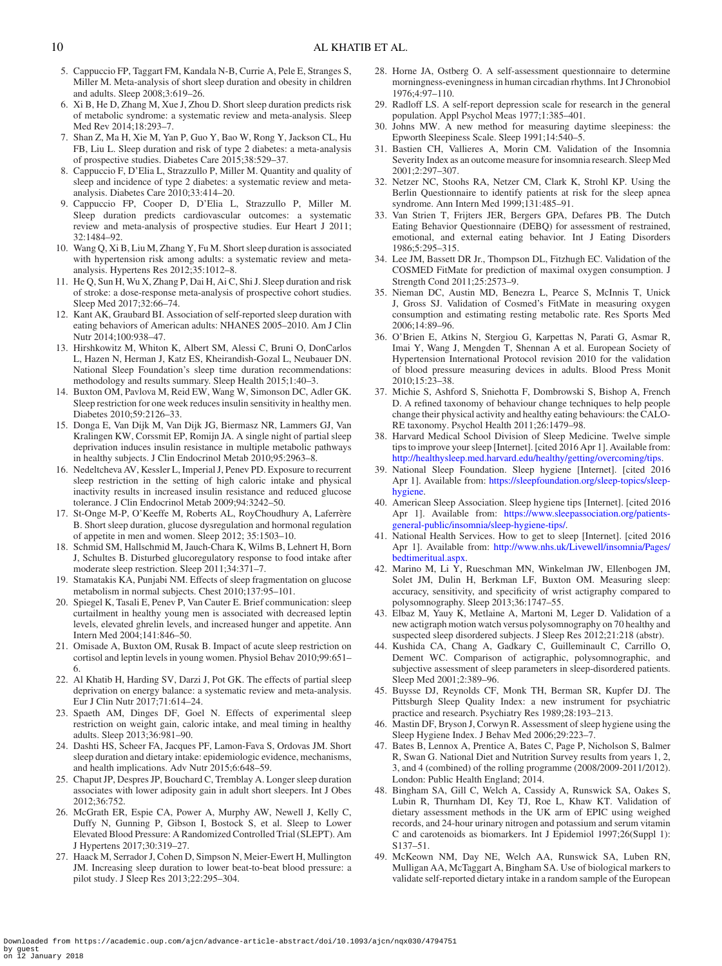- 5. Cappuccio FP, Taggart FM, Kandala N-B, Currie A, Pele E, Stranges S, Miller M. Meta-analysis of short sleep duration and obesity in children and adults. Sleep 2008;3:619–26.
- 6. Xi B, He D, Zhang M, Xue J, Zhou D. Short sleep duration predicts risk of metabolic syndrome: a systematic review and meta-analysis. Sleep Med Rev 2014;18:293–7.
- 7. Shan Z, Ma H, Xie M, Yan P, Guo Y, Bao W, Rong Y, Jackson CL, Hu FB, Liu L. Sleep duration and risk of type 2 diabetes: a meta-analysis of prospective studies. Diabetes Care 2015;38:529–37.
- 8. Cappuccio F, D'Elia L, Strazzullo P, Miller M. Quantity and quality of sleep and incidence of type 2 diabetes: a systematic review and metaanalysis. Diabetes Care 2010;33:414–20.
- 9. Cappuccio FP, Cooper D, D'Elia L, Strazzullo P, Miller M. Sleep duration predicts cardiovascular outcomes: a systematic review and meta-analysis of prospective studies. Eur Heart J 2011; 32:1484–92.
- 10. Wang Q, Xi B, Liu M, Zhang Y, Fu M. Short sleep duration is associated with hypertension risk among adults: a systematic review and metaanalysis. Hypertens Res 2012;35:1012–8.
- 11. He Q, Sun H, Wu X, Zhang P, Dai H, Ai C, Shi J. Sleep duration and risk of stroke: a dose-response meta-analysis of prospective cohort studies. Sleep Med 2017;32:66–74.
- <span id="page-9-0"></span>12. Kant AK, Graubard BI. Association of self-reported sleep duration with eating behaviors of American adults: NHANES 2005–2010. Am J Clin Nutr 2014;100:938–47.
- <span id="page-9-1"></span>13. Hirshkowitz M, Whiton K, Albert SM, Alessi C, Bruni O, DonCarlos L, Hazen N, Herman J, Katz ES, Kheirandish-Gozal L, Neubauer DN. National Sleep Foundation's sleep time duration recommendations: methodology and results summary. Sleep Health 2015;1:40–3.
- 14. Buxton OM, Pavlova M, Reid EW, Wang W, Simonson DC, Adler GK. Sleep restriction for one week reduces insulin sensitivity in healthy men. Diabetes 2010;59:2126–33.
- 15. Donga E, Van Dijk M, Van Dijk JG, Biermasz NR, Lammers GJ, Van Kralingen KW, Corssmit EP, Romijn JA. A single night of partial sleep deprivation induces insulin resistance in multiple metabolic pathways in healthy subjects. J Clin Endocrinol Metab 2010;95:2963–8.
- 16. Nedeltcheva AV, Kessler L, Imperial J, Penev PD. Exposure to recurrent sleep restriction in the setting of high caloric intake and physical inactivity results in increased insulin resistance and reduced glucose tolerance. J Clin Endocrinol Metab 2009;94:3242–50.
- 17. St-Onge M-P, O'Keeffe M, Roberts AL, RoyChoudhury A, Laferrère B. Short sleep duration, glucose dysregulation and hormonal regulation of appetite in men and women. Sleep 2012; 35:1503–10.
- 18. Schmid SM, Hallschmid M, Jauch-Chara K, Wilms B, Lehnert H, Born J, Schultes B. Disturbed glucoregulatory response to food intake after moderate sleep restriction. Sleep 2011;34:371–7.
- 19. Stamatakis KA, Punjabi NM. Effects of sleep fragmentation on glucose metabolism in normal subjects. Chest 2010;137:95–101.
- <span id="page-9-2"></span>20. Spiegel K, Tasali E, Penev P, Van Cauter E. Brief communication: sleep curtailment in healthy young men is associated with decreased leptin levels, elevated ghrelin levels, and increased hunger and appetite. Ann Intern Med 2004;141:846–50.
- <span id="page-9-3"></span>21. Omisade A, Buxton OM, Rusak B. Impact of acute sleep restriction on cortisol and leptin levels in young women. Physiol Behav 2010;99:651– 6.
- <span id="page-9-4"></span>22. Al Khatib H, Harding SV, Darzi J, Pot GK. The effects of partial sleep deprivation on energy balance: a systematic review and meta-analysis. Eur J Clin Nutr 2017;71:614–24.
- <span id="page-9-5"></span>23. Spaeth AM, Dinges DF, Goel N. Effects of experimental sleep restriction on weight gain, caloric intake, and meal timing in healthy adults. Sleep 2013;36:981–90.
- <span id="page-9-6"></span>24. Dashti HS, Scheer FA, Jacques PF, Lamon-Fava S, Ordovas JM. Short sleep duration and dietary intake: epidemiologic evidence, mechanisms, and health implications. Adv Nutr 2015;6:648–59.
- <span id="page-9-7"></span>25. Chaput JP, Despres JP, Bouchard C, Tremblay A. Longer sleep duration associates with lower adiposity gain in adult short sleepers. Int J Obes 2012;36:752.
- <span id="page-9-8"></span>26. McGrath ER, Espie CA, Power A, Murphy AW, Newell J, Kelly C, Duffy N, Gunning P, Gibson I, Bostock S, et al. Sleep to Lower Elevated Blood Pressure: A Randomized Controlled Trial (SLEPT). Am J Hypertens 2017;30:319–27.
- <span id="page-9-9"></span>27. Haack M, Serrador J, Cohen D, Simpson N, Meier-Ewert H, Mullington JM. Increasing sleep duration to lower beat-to-beat blood pressure: a pilot study. J Sleep Res 2013;22:295–304.
- <span id="page-9-10"></span>28. Horne JA, Ostberg O. A self-assessment questionnaire to determine morningness-eveningness in human circadian rhythms. Int J Chronobiol 1976;4:97–110.
- <span id="page-9-11"></span>29. Radloff LS. A self-report depression scale for research in the general population. Appl Psychol Meas 1977;1:385–401.
- <span id="page-9-12"></span>30. Johns MW. A new method for measuring daytime sleepiness: the Epworth Sleepiness Scale. Sleep 1991;14:540–5.
- <span id="page-9-13"></span>31. Bastien CH, Vallieres A, Morin CM. Validation of the Insomnia Severity Index as an outcome measure for insomnia research. Sleep Med 2001;2:297–307.
- <span id="page-9-14"></span>32. Netzer NC, Stoohs RA, Netzer CM, Clark K, Strohl KP. Using the Berlin Questionnaire to identify patients at risk for the sleep apnea syndrome. Ann Intern Med 1999;131:485–91.
- <span id="page-9-15"></span>33. Van Strien T, Frijters JER, Bergers GPA, Defares PB. The Dutch Eating Behavior Questionnaire (DEBQ) for assessment of restrained, emotional, and external eating behavior. Int J Eating Disorders 1986;5:295–315.
- <span id="page-9-16"></span>34. Lee JM, Bassett DR Jr., Thompson DL, Fitzhugh EC. Validation of the COSMED FitMate for prediction of maximal oxygen consumption. J Strength Cond 2011;25:2573–9.
- <span id="page-9-17"></span>35. Nieman DC, Austin MD, Benezra L, Pearce S, McInnis T, Unick J, Gross SJ. Validation of Cosmed's FitMate in measuring oxygen consumption and estimating resting metabolic rate. Res Sports Med 2006;14:89–96.
- <span id="page-9-18"></span>36. O'Brien E, Atkins N, Stergiou G, Karpettas N, Parati G, Asmar R, Imai Y, Wang J, Mengden T, Shennan A et al. European Society of Hypertension International Protocol revision 2010 for the validation of blood pressure measuring devices in adults. Blood Press Monit  $2010.15.23 - 38$
- <span id="page-9-19"></span>37. Michie S, Ashford S, Sniehotta F, Dombrowski S, Bishop A, French D. A refined taxonomy of behaviour change techniques to help people change their physical activity and healthy eating behaviours: the CALO-RE taxonomy. Psychol Health 2011;26:1479–98.
- <span id="page-9-20"></span>38. Harvard Medical School Division of Sleep Medicine. Twelve simple tips to improve your sleep [Internet]. [cited 2016 Apr 1]. Available from: [http://healthysleep.med.harvard.edu/healthy/getting/overcoming/tips.](http://healthysleep.med.harvard.edu/healthy/getting/overcoming/tips)
- <span id="page-9-21"></span>39. National Sleep Foundation. Sleep hygiene [Internet]. [cited 2016 Apr 1]. Available from: [https://sleepfoundation.org/sleep-topics/sleep](https://sleepfoundation.org/sleep-topics/sleep-hygiene)hygiene.
- <span id="page-9-22"></span>40. American Sleep Association. Sleep hygiene tips [Internet]. [cited 2016 Apr 1]. Available from: https://www.sleepassociation.org/patients[general-public/insomnia/sleep-hygiene-tips/.](https://www.sleepassociation.org/patients-general-public/insomnia/sleep-hygiene-tips/)
- <span id="page-9-23"></span>41. National Health Services. How to get to sleep [Internet]. [cited 2016 Apr 1]. Available from: [http://www.nhs.uk/Livewell/insomnia/Pages/](http://www.nhs.uk/Livewell/insomnia/Pages/bedtimeritual.aspx) bedtimeritual.aspx.
- <span id="page-9-24"></span>42. Marino M, Li Y, Rueschman MN, Winkelman JW, Ellenbogen JM, Solet JM, Dulin H, Berkman LF, Buxton OM. Measuring sleep: accuracy, sensitivity, and specificity of wrist actigraphy compared to polysomnography. Sleep 2013;36:1747–55.
- <span id="page-9-25"></span>43. Elbaz M, Yauy K, Metlaine A, Martoni M, Leger D. Validation of a new actigraph motion watch versus polysomnography on 70 healthy and suspected sleep disordered subjects. J Sleep Res 2012;21:218 (abstr).
- <span id="page-9-26"></span>44. Kushida CA, Chang A, Gadkary C, Guilleminault C, Carrillo O, Dement WC. Comparison of actigraphic, polysomnographic, and subjective assessment of sleep parameters in sleep-disordered patients. Sleep Med 2001;2:389–96.
- <span id="page-9-27"></span>45. Buysse DJ, Reynolds CF, Monk TH, Berman SR, Kupfer DJ. The Pittsburgh Sleep Quality Index: a new instrument for psychiatric practice and research. Psychiatry Res 1989;28:193–213.
- <span id="page-9-28"></span>46. Mastin DF, Bryson J, Corwyn R. Assessment of sleep hygiene using the Sleep Hygiene Index. J Behav Med 2006;29:223–7.
- <span id="page-9-29"></span>47. Bates B, Lennox A, Prentice A, Bates C, Page P, Nicholson S, Balmer R, Swan G. National Diet and Nutrition Survey results from years 1, 2, 3, and 4 (combined) of the rolling programme (2008/2009-2011/2012). London: Public Health England; 2014.
- <span id="page-9-30"></span>48. Bingham SA, Gill C, Welch A, Cassidy A, Runswick SA, Oakes S, Lubin R, Thurnham DI, Key TJ, Roe L, Khaw KT. Validation of dietary assessment methods in the UK arm of EPIC using weighed records, and 24-hour urinary nitrogen and potassium and serum vitamin C and carotenoids as biomarkers. Int J Epidemiol 1997;26(Suppl 1): S137–51.
- <span id="page-9-31"></span>49. McKeown NM, Day NE, Welch AA, Runswick SA, Luben RN, Mulligan AA, McTaggart A, Bingham SA. Use of biological markers to validate self-reported dietary intake in a random sample of the European